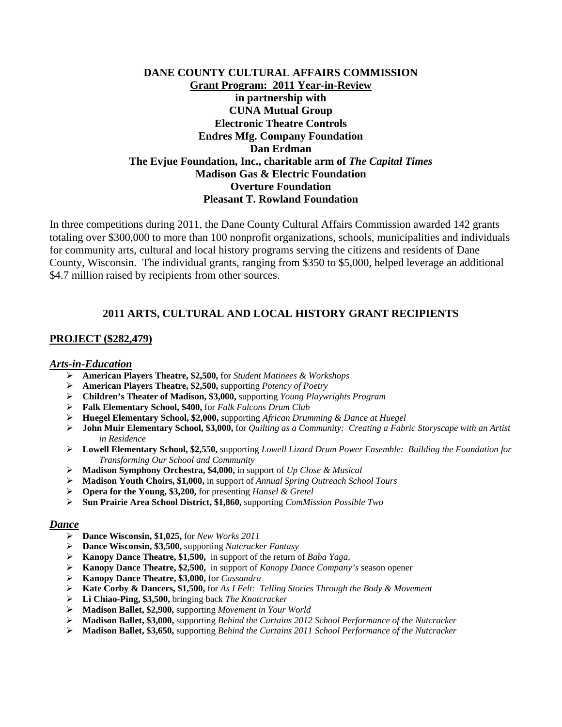# **DANE COUNTY CULTURAL AFFAIRS COMMISSION Grant Program: 2011 Year-in-Review in partnership with CUNA Mutual Group Electronic Theatre Controls Endres Mfg. Company Foundation Dan Erdman The Evjue Foundation, Inc., charitable arm of** *The Capital Times*  **Madison Gas & Electric Foundation Overture Foundation Pleasant T. Rowland Foundation**

In three competitions during 2011, the Dane County Cultural Affairs Commission awarded 142 grants totaling over \$300,000 to more than 100 nonprofit organizations, schools, municipalities and individuals for community arts, cultural and local history programs serving the citizens and residents of Dane County, Wisconsin. The individual grants, ranging from \$350 to \$5,000, helped leverage an additional \$4.7 million raised by recipients from other sources.

# **2011 ARTS, CULTURAL AND LOCAL HISTORY GRANT RECIPIENTS**

## **PROJECT (\$282,479)**

## *Arts-in-Education*

- ¾ **American Players Theatre, \$2,500,** for *Student Matinees & Workshops*
- ¾ **American Players Theatre, \$2,500,** supporting *Potency of Poetry*
- ¾ **Children's Theater of Madison, \$3,000,** supporting *Young Playwrights Program*
- ¾ **Falk Elementary School, \$400,** for *Falk Falcons Drum Club*
- ¾ **Huegel Elementary School, \$2,000,** supporting *African Drumming & Dance at Huegel*
- ¾ **John Muir Elementary School, \$3,000,** for *Quilting as a Community: Creating a Fabric Storyscape with an Artist in Residence*
- ¾ **Lowell Elementary School, \$2,550,** supporting *Lowell Lizard Drum Power Ensemble: Building the Foundation for Transforming Our School and Community*
- ¾ **Madison Symphony Orchestra, \$4,000,** in support of *Up Close & Musical*
- ¾ **Madison Youth Choirs, \$1,000,** in support of *Annual Spring Outreach School Tours*
- ¾ **Opera for the Young, \$3,200,** for presenting *Hansel & Gretel*
- ¾ **Sun Prairie Area School District, \$1,860,** supporting *ComMission Possible Two*

#### *Dance*

- ¾ **Dance Wisconsin, \$1,025,** for *New Works 2011*
- ¾ **Dance Wisconsin, \$3,500,** supporting *Nutcracker Fantasy*
- ¾ **Kanopy Dance Theatre, \$1,500,** in support of the return of *Baba Yaga,*
- ¾ **Kanopy Dance Theatre, \$2,500,** in support of *Kanopy Dance Company's* season opener
- ¾ **Kanopy Dance Theatre, \$3,000,** for *Cassandra*
- ¾ **Kate Corby & Dancers, \$1,500,** for *As I Felt: Telling Stories Through the Body & Movement*
- ¾ **Li Chiao-Ping, \$3,500,** bringing back *The Knotcracker*
- ¾ **Madison Ballet, \$2,900,** supporting *Movement in Your World*
- ¾ **Madison Ballet, \$3,000,** supporting *Behind the Curtains 2012 School Performance of the Nutcracker*
- ¾ **Madison Ballet, \$3,650,** supporting *Behind the Curtains 2011 School Performance of the Nutcracker*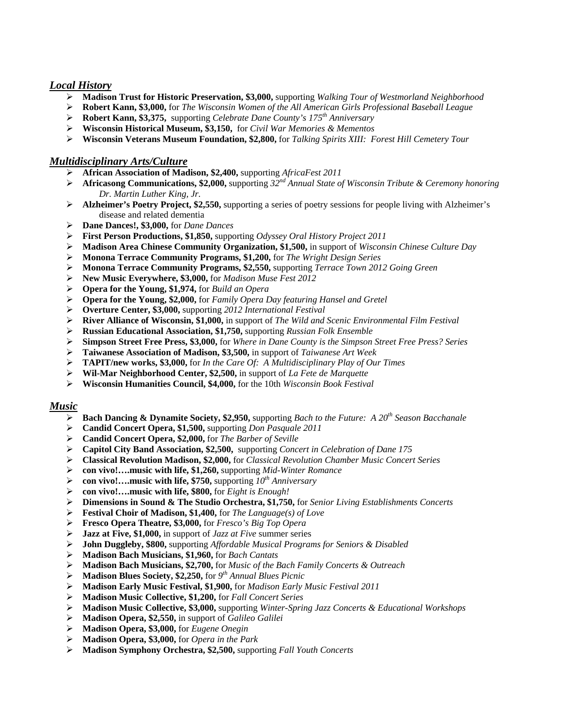## *Local History*

- **Madison Trust for Historic Preservation, \$3,000,** supporting *Walking Tour of Westmorland Neighborhood*
- **Robert Kann, \$3,000,** for *The Wisconsin Women of the All American Girls Professional Baseball League*
- **Robert Kann, \$3,375,** supporting *Celebrate Dane County's 175th Anniversary*
- **Wisconsin Historical Museum, \$3,150,** for *Civil War Memories & Mementos*
- **Wisconsin Veterans Museum Foundation, \$2,800,** for *Talking Spirits XIII: Forest Hill Cemetery Tour*

## *Multidisciplinary Arts/Culture*

- **African Association of Madison, \$2,400,** supporting *AfricaFest 2011*
- **Africasong Communications, \$2,000,** supporting *32nd Annual State of Wisconsin Tribute & Ceremony honoring Dr. Martin Luther King, Jr.*
- **Alzheimer's Poetry Project, \$2,550,** supporting a series of poetry sessions for people living with Alzheimer's disease and related dementia
- **Dane Dances!, \$3,000,** for *Dane Dances*
- **First Person Productions, \$1,850,** supporting *Odyssey Oral History Project 2011*
- **Madison Area Chinese Community Organization, \$1,500,** in support of *Wisconsin Chinese Culture Day*
- **Monona Terrace Community Programs, \$1,200,** for *The Wright Design Series*
- **Monona Terrace Community Programs, \$2,550,** supporting *Terrace Town 2012 Going Green*
- **New Music Everywhere, \$3,000,** for *Madison Muse Fest 2012*
- **Opera for the Young, \$1,974,** for *Build an Opera*
- **Opera for the Young, \$2,000,** for *Family Opera Day featuring Hansel and Gretel*
- **Overture Center, \$3,000,** supporting *2012 International Festival*
- **River Alliance of Wisconsin, \$1,000,** in support of *The Wild and Scenic Environmental Film Festival*
- **Russian Educational Association, \$1,750,** supporting *Russian Folk Ensemble*
- **Simpson Street Free Press, \$3,000,** for *Where in Dane County is the Simpson Street Free Press? Series*
- **Taiwanese Association of Madison, \$3,500,** in support of *Taiwanese Art Week*
- **TAPIT/new works, \$3,000,** for *In the Care Of: A Multidisciplinary Play of Our Times*
- **Wil-Mar Neighborhood Center, \$2,500,** in support of *La Fete de Marquette*
- **Wisconsin Humanities Council, \$4,000,** for the 10th *Wisconsin Book Festival*

#### *Music*

- **Bach Dancing & Dynamite Society, \$2,950,** supporting *Bach to the Future: A 20th Season Bacchanale*
- **Candid Concert Opera, \$1,500,** supporting *Don Pasquale 2011*
- **Candid Concert Opera, \$2,000,** for *The Barber of Seville*
- **Capitol City Band Association, \$2,500,** supporting *Concert in Celebration of Dane 175*
- **Classical Revolution Madison, \$2,000,** for *Classical Revolution Chamber Music Concert Series*
- **con vivo!….music with life, \$1,260,** supporting *Mid-Winter Romance*
- **con vivo!….music with life, \$750,** supporting *10th Anniversary*
- **con vivo!….music with life, \$800,** for *Eight is Enough!*
- **Dimensions in Sound & The Studio Orchestra, \$1,750,** for *Senior Living Establishments Concerts*
- **Festival Choir of Madison, \$1,400,** for *The Language(s) of Love*
- **Fresco Opera Theatre, \$3,000,** for *Fresco's Big Top Opera*
- **Jazz at Five, \$1,000,** in support of *Jazz at Five* summer series
- **John Duggleby, \$800,** supporting *Affordable Musical Programs for Seniors & Disabled*
- **Madison Bach Musicians, \$1,960,** for *Bach Cantats*
- **Madison Bach Musicians, \$2,700,** for *Music of the Bach Family Concerts & Outreach*
- **Madison Blues Society, \$2,250,** for *9th Annual Blues Picnic*
- **Madison Early Music Festival, \$1,900,** for *Madison Early Music Festival 2011*
- **Madison Music Collective, \$1,200,** for *Fall Concert Series*
- **Madison Music Collective, \$3,000,** supporting *Winter-Spring Jazz Concerts & Educational Workshops*
- **Madison Opera, \$2,550,** in support of *Galileo Galilei*
- **Madison Opera, \$3,000,** for *Eugene Onegin*
- **Madison Opera, \$3,000,** for *Opera in the Park*
- **Madison Symphony Orchestra, \$2,500,** supporting *Fall Youth Concerts*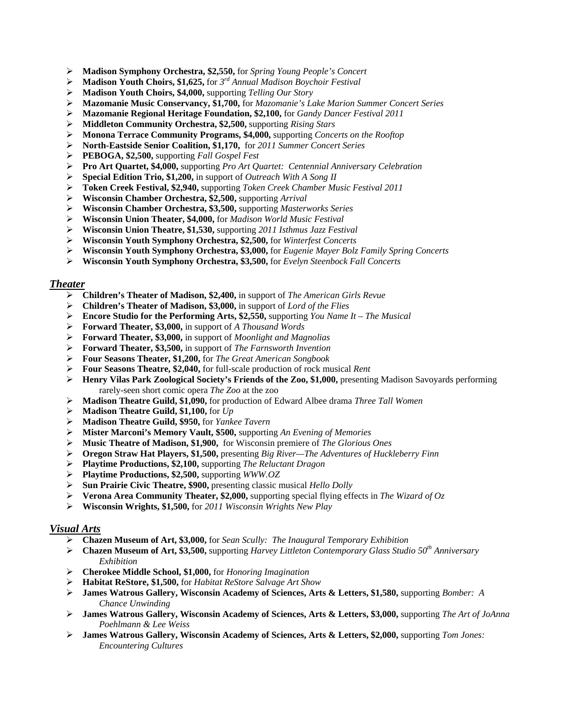- **Madison Symphony Orchestra, \$2,550,** for *Spring Young People's Concert*
- **Madison Youth Choirs, \$1,625,** for *3rd Annual Madison Boychoir Festival*
- **Madison Youth Choirs, \$4,000,** supporting *Telling Our Story*
- **Mazomanie Music Conservancy, \$1,700,** for *Mazomanie's Lake Marion Summer Concert Series*
- **Mazomanie Regional Heritage Foundation, \$2,100,** for *Gandy Dancer Festival 2011*
- **Middleton Community Orchestra, \$2,500,** supporting *Rising Stars*
- **Monona Terrace Community Programs, \$4,000,** supporting *Concerts on the Rooftop*
- **North-Eastside Senior Coalition, \$1,170,** for *2011 Summer Concert Series*
- **PEBOGA, \$2,500,** supporting *Fall Gospel Fest*
- **Pro Art Quartet, \$4,000,** supporting *Pro Art Quartet: Centennial Anniversary Celebration*
- **Special Edition Trio, \$1,200,** in support of *Outreach With A Song II*
- **Token Creek Festival, \$2,940,** supporting *Token Creek Chamber Music Festival 2011*
- **Wisconsin Chamber Orchestra, \$2,500,** supporting *Arrival*
- **Wisconsin Chamber Orchestra, \$3,500,** supporting *Masterworks Series*
- **Wisconsin Union Theater, \$4,000,** for *Madison World Music Festival*
- **Wisconsin Union Theatre, \$1,530,** supporting *2011 Isthmus Jazz Festival*
- **Wisconsin Youth Symphony Orchestra, \$2,500,** for *Winterfest Concerts*
- **Wisconsin Youth Symphony Orchestra, \$3,000,** for *Eugenie Mayer Bolz Family Spring Concerts*
- **Wisconsin Youth Symphony Orchestra, \$3,500,** for *Evelyn Steenbock Fall Concerts*

#### *Theater*

- **Children's Theater of Madison, \$2,400,** in support of *The American Girls Revue*
- **Children's Theater of Madison, \$3,000,** in support of *Lord of the Flies*
- **Encore Studio for the Performing Arts, \$2,550,** supporting *You Name It The Musical*
- **Forward Theater, \$3,000,** in support of *A Thousand Words*
- **Forward Theater, \$3,000,** in support of *Moonlight and Magnolias*
- **Forward Theater, \$3,500,** in support of *The Farnsworth Invention*
- **Four Seasons Theater, \$1,200,** for *The Great American Songbook*
- **Four Seasons Theatre, \$2,040,** for full-scale production of rock musical *Rent*
- **Henry Vilas Park Zoological Society's Friends of the Zoo, \$1,000,** presenting Madison Savoyards performing rarely-seen short comic opera *The Zoo* at the zoo
- **Madison Theatre Guild, \$1,090,** for production of Edward Albee drama *Three Tall Women*
- **Madison Theatre Guild, \$1,100,** for *Up*
- **Madison Theatre Guild, \$950,** for *Yankee Tavern*
- **Mister Marconi's Memory Vault, \$500,** supporting *An Evening of Memories*
- **Music Theatre of Madison, \$1,900,** for Wisconsin premiere of *The Glorious Ones*
- **Oregon Straw Hat Players, \$1,500,** presenting *Big River—The Adventures of Huckleberry Finn*
- **Playtime Productions, \$2,100,** supporting *The Reluctant Dragon*
- **Playtime Productions, \$2,500,** supporting *WWW.OZ*
- **Sun Prairie Civic Theatre, \$900,** presenting classic musical *Hello Dolly*
- **Verona Area Community Theater, \$2,000,** supporting special flying effects in *The Wizard of Oz*
- **Wisconsin Wrights, \$1,500,** for *2011 Wisconsin Wrights New Play*

#### *Visual Arts*

- **Chazen Museum of Art, \$3,000,** for *Sean Scully: The Inaugural Temporary Exhibition*
- **Chazen Museum of Art, \$3,500,** supporting *Harvey Littleton Contemporary Glass Studio 50th Anniversary Exhibition*
- **Cherokee Middle School, \$1,000,** for *Honoring Imagination*
- **Habitat ReStore, \$1,500,** for *Habitat ReStore Salvage Art Show*
- **James Watrous Gallery, Wisconsin Academy of Sciences, Arts & Letters, \$1,580,** supporting *Bomber: A Chance Unwinding*
- **James Watrous Gallery, Wisconsin Academy of Sciences, Arts & Letters, \$3,000,** supporting *The Art of JoAnna Poehlmann & Lee Weiss*
- **James Watrous Gallery, Wisconsin Academy of Sciences, Arts & Letters, \$2,000,** supporting *Tom Jones: Encountering Cultures*